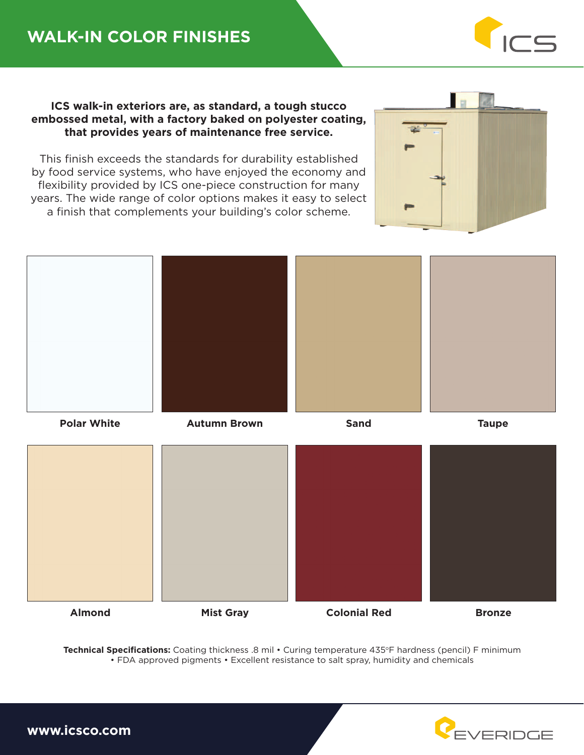## **WALK-IN COLOR FINISHES**



**ICS walk-in exteriors are, as standard, a tough stucco embossed metal, with a factory baked on polyester coating, that provides years of maintenance free service.**

This finish exceeds the standards for durability established by food service systems, who have enjoyed the economy and flexibility provided by ICS one-piece construction for many years. The wide range of color options makes it easy to select a finish that complements your building's color scheme.





Technical Specifications: Coating thickness .8 mil • Curing temperature 435°F hardness (pencil) F minimum • FDA approved pigments • Excellent resistance to salt spray, humidity and chemicals